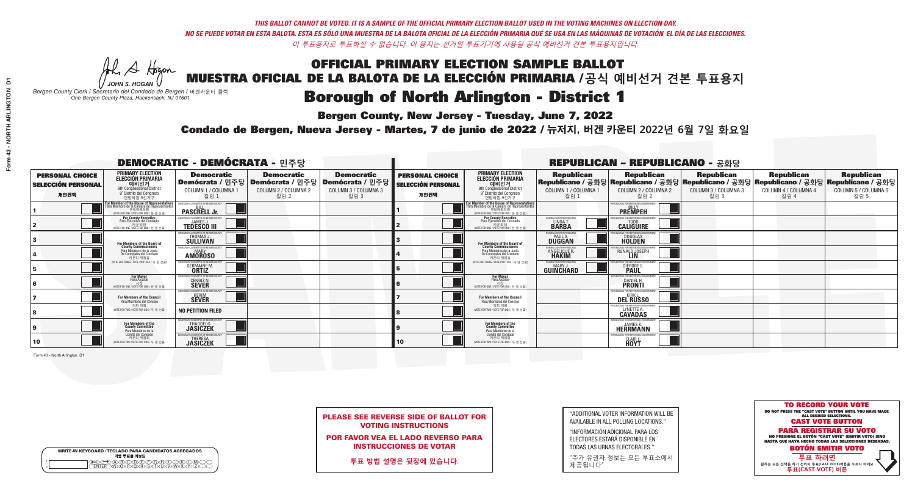A Hogan

**Bergen County, New Jersey - Tuesday, June 7, 2022** 

| <b>WRITE-IN KEYBOARD /TECLADO PARA CANDIDATOS AGREGADOS</b><br>기명 투표용 키보드 |  |
|---------------------------------------------------------------------------|--|
| >@B\C\D\E\F\G\A\T\.<br><u>ስគለሽ እንደ አ</u>                                  |  |

*JOHN S. HOGAN Bergen County Clerk / Secretario del Condado de Bergen /* 버겐카운티 클럭 *One Bergen County Plaza, Hackensack, NJ 07601*



PLEASE SEE REVERSE SIDE OF BALLOT FOR VOTING INSTRUCTIONS

POR FAVOR VEA EL LADO REVERSO PARA INSTRUCCIONES DE VOTAR

**투표 방법 설명은 뒷장에 있습니다.**

"ADDITIONAL VOTER INFORMATION WILL BE AVAILABLE IN ALL POLLING LOCATIONS."

"INFORMACIÓN ADICIONAL PARA LOS ELECTORES ESTARÁ DISPONIBLE EN TODAS LAS URNAS ELECTORALES."

"추가 유권자 정보는 모든 투표소에서 제공됩니다"

Condado de Bergen, Nueva Jersey - Martes, 7 de junio de 2022 / 뉴저지, 버겐 카운티 2022년 6월 7일 화요일 *One Bergen County Plaza, Hackensack, NJ 07601*

| <b>DEMOCRATIC - DEMÓCRATA - 민주당</b>                         |                                                                                                                                                   |                                                                                                        |                                                   |                                                   |                                                             |                                                                                                                                                             |                                                            | <b>REPUBLICAN - REPUBLICANO - 공화당</b>                                                                                                           |                                                   |                                                   |                                                   |
|-------------------------------------------------------------|---------------------------------------------------------------------------------------------------------------------------------------------------|--------------------------------------------------------------------------------------------------------|---------------------------------------------------|---------------------------------------------------|-------------------------------------------------------------|-------------------------------------------------------------------------------------------------------------------------------------------------------------|------------------------------------------------------------|-------------------------------------------------------------------------------------------------------------------------------------------------|---------------------------------------------------|---------------------------------------------------|---------------------------------------------------|
| <b>PERSONAL CHOICE</b><br><b>SELECCIÓN PERSONAL</b><br>개인선택 | <b>PRIMARY ELECTION</b><br>ELECCIÓN PRIMARIA<br>9th Congressional District<br>9° Distrito del Congreso<br>연방하원 9선거구                               | <b>Democratic</b><br>│Demócrata / 민주당│Demócrata / 민주당│Demócrata / 민주당│<br>COLUMN 1 / COLUMNA 1<br>칼럼 1 | <b>Democratic</b><br>COLUMN 2 / COLUMNA 2<br>칼럼 2 | <b>Democratic</b><br>COLUMN 3 / COLUMNA 3<br>칼럼 3 | <b>PERSONAL CHOICE</b><br><b>SELECCIÓN PERSONAL</b><br>개인선택 | <b>PRIMARY ELECTION</b><br>ELECCIÓN PRIMARIA<br>9th Congressional District<br>9° Distrito del Congreso<br>연방하원 9선거구                                         | <b>Republican</b><br>COLUMN 1 / COLUMNA 1<br>칼럼 1          | <b>Republican</b><br>│Republicano / 공화당│Republicano / 공화당│Republicano / 공화당│Republicano / 공화당│Republicano / 공화당<br>COLUMN 2 / COLUMNA 2<br>칼럼 2 | <b>Republican</b><br>COLUMN 3 / COLUMNA 3<br>칼럼 3 | <b>Republican</b><br>COLUMN 4 / COLUMNA 4<br>칼럼 4 | <b>Republican</b><br>COLUMN 5 / COLUMNA 5<br>칼럼 5 |
|                                                             | <b>r Member of the House of Representatives</b><br>ara Miembro de la Cámara de Representantes<br>연방하원의원<br>(VOTE FOR ONE / VOTE POR UNO / 한 명 선출) | <b>PASCRELL Jr.</b>                                                                                    |                                                   |                                                   |                                                             | F <mark>or Member of the House of Representatives</mark><br>Para Miembro de la Cámara de Representantes<br>연방하원의원<br>(VOTE FOR ONE / VOTE POR UNO / 한 명 선출) |                                                            | <b>FPUBLICANS FOR RESPONSIBLE GOVERNI</b><br><b>PREMPEH</b>                                                                                     |                                                   |                                                   |                                                   |
|                                                             | For County Executive<br>Para Ejecutivo del Condado<br>가운티장<br>(VOTE FOR ONE / VOTE POR UNO / 한 명 선출)                                              | JEMOCRATIC COMMITTEE OF BERGEN COUNTY<br><b>TEDESCO III</b>                                            |                                                   |                                                   |                                                             | <b>For County Executive</b><br>Para Ejecutivo del Condado<br>7) 카운티장<br>(VOTE FOR ONE / VOTE POR UNO / 한 명 선출)                                              | BERGEN COUNTY REPUBLICAN<br>LINDA T.                       | PHRI ICANS FOR RESPONSIRI E GOVERNME!<br><b>CALIGUIRE</b>                                                                                       |                                                   |                                                   |                                                   |
|                                                             | For Members of the Board of<br>County Commissioners                                                                                               | EMOCRATIC COMMITTEE OF BERGEN COUNT<br>THOMAS J.                                                       |                                                   |                                                   |                                                             | For Members of the Board of<br>County Commissioners                                                                                                         | ERGEN COUNTY REPUBLICAN<br><b>PAUL A.</b><br><b>DUGGAN</b> | <b>DOUGLAS</b>                                                                                                                                  |                                                   |                                                   |                                                   |
|                                                             | Para Miembros de la Junta<br>De Concejales del Condado<br>카우티 위원들                                                                                 | MOCRATIC COMMITTEE OF BERGEN COUNT<br><b>MARY</b><br><b>AMOROSO</b>                                    |                                                   |                                                   |                                                             | Para Miembros de la Junta<br>De Concejales del Condado<br>카우티 위원들                                                                                           | <b>ERGEN COUNTY REPUBLICAN</b><br>ANGELIQUE R              | RONALD JOSEPH<br><b>LIN</b>                                                                                                                     |                                                   |                                                   |                                                   |
|                                                             | (VOTE FOR THREE / VOTE POR TRES / 세 명 선출)                                                                                                         | <b>GERMAINE M.</b><br><b>ORTIZ</b>                                                                     |                                                   |                                                   |                                                             | (VOTE FOR THREE / VOTE POR TRES / 세 명 선출)                                                                                                                   | ERGEN COUNTY REPUBLICANS<br>GUINCHARD                      | DIERDRE G                                                                                                                                       |                                                   |                                                   |                                                   |
|                                                             | For Mayor<br>Para Alcalde<br>WOTE FOR ONE / VOTE POR UNO / 한 명                                                                                    | MOCRATIC COMMITTEE OF BERGEN COUNTY<br><b>CENGIZ N</b><br><b>SEVER</b>                                 |                                                   |                                                   |                                                             | For Mayor<br>Para Alcalde<br>시장<br>NOTE FOR ONE / VOTE POR UNO / 한 명 선출)                                                                                    |                                                            | PHRI ICANS ENR RESPONSIRI E (<br><b>DANIEL H.</b><br><b>PRONTI</b>                                                                              |                                                   |                                                   |                                                   |
|                                                             | For Members of the Council<br>Para Miembros del Conceio                                                                                           | OCRATIC COMMITTEE OF BERGEN COUNTY<br><b>SEVER</b>                                                     |                                                   |                                                   |                                                             | <b>For Members of the Council</b><br>Para Miembros del Conceio                                                                                              |                                                            | PUBLICANS FOR RESPONSIBLE GOVERNMEN<br><b>DEL RUSSO</b>                                                                                         |                                                   |                                                   |                                                   |
|                                                             | 의회 의원<br>(VOTE FOR TWO / VOTE POR DOS / 두 명 선출)                                                                                                   | <b>NO PETITION FILED</b>                                                                               |                                                   |                                                   |                                                             | 의회 의원<br>NOTE FOR TWO / VOTE POR DOS / 두 명 선출)                                                                                                              |                                                            | PUBLICANS FOR RESPONSIBLE G<br>LYNETTE A.                                                                                                       |                                                   |                                                   |                                                   |
|                                                             | For Members of the<br>County Committee<br>Para Miembros de la                                                                                     | MOCRATIC COMMITTEE OF BERGEN COUNT<br><b>JASICZEK</b>                                                  |                                                   |                                                   |                                                             | For Members of the<br>County Committee<br>Para Miembros de la<br>Comité del Condado                                                                         |                                                            | PUBLICANS FOR RESPONSIBLE GOVERNMEN<br>JAMES K.<br>HEŘRMANN                                                                                     |                                                   |                                                   |                                                   |
| 10                                                          | Comité del Condado<br>카운티 위원회<br>(VOTE FOR TWO / VOTE POR DOS / 두 명 선출)                                                                           | <b>EMOCRATIC COMMITTEE OF BERGEN COUNT</b><br><b>JASICZEK</b>                                          |                                                   |                                                   | 10                                                          | 카운티 위원회<br>(VOTE FOR TWO / VOTE POR DOS / 두 명 선출)                                                                                                           |                                                            | PUBLICANS FOR RESPONSIBLE GOVERNMEN<br>CLAIR L.<br>HOYT                                                                                         |                                                   |                                                   |                                                   |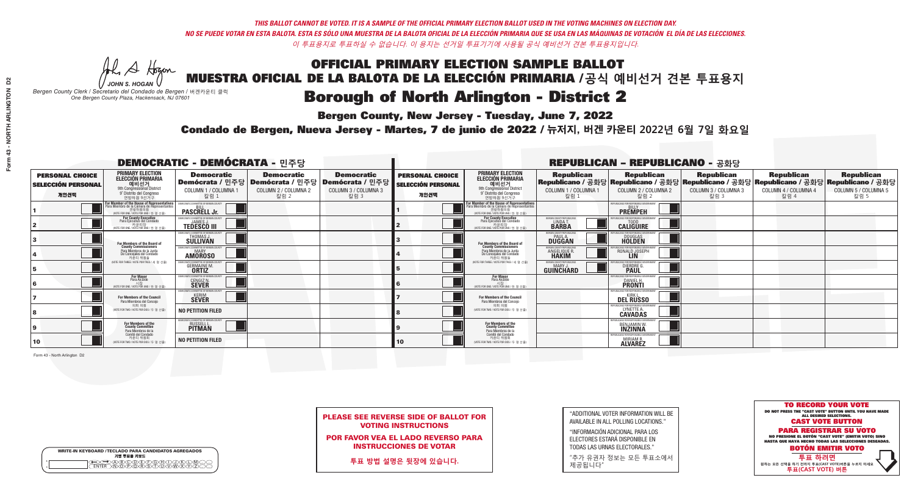A Hogan

**Bergen County, New Jersey - Tuesday, June 7, 2022** 

| <b>WRITE-IN KEYBOARD /TECLADO PARA CANDIDATOS AGREGADOS</b><br>기명 투표용 키보드 |  |
|---------------------------------------------------------------------------|--|
| >@®©@©E@®DQ®<br>`^N\@P\@R\$\T\U\V\\X\                                     |  |

*JOHN S. HOGAN Bergen County Clerk / Secretario del Condado de Bergen /* 버겐카운티 클럭 *One Bergen County Plaza, Hackensack, NJ 07601*

Condado de Bergen, Nueva Jersey - Martes, 7 de junio de 2022 / 뉴저지, 버겐 카운티 2022년 6월 7일 화요일 *One Bergen County Plaza, Hackensack, NJ 07601*



PLEASE SEE REVERSE SIDE OF BALLOT FOR VOTING INSTRUCTIONS

POR FAVOR VEA EL LADO REVERSO PARA INSTRUCCIONES DE VOTAR

**투표 방법 설명은 뒷장에 있습니다.**

"ADDITIONAL VOTER INFORMATION WILL BE AVAILABLE IN ALL POLLING LOCATIONS."

"INFORMACIÓN ADICIONAL PARA LOS ELECTORES ESTARÁ DISPONIBLE EN TODAS LAS URNAS ELECTORALES."

"추가 유권자 정보는 모든 투표소에서 제공됩니다"

| <b>DEMOCRATIC - DEMÓCRATA -</b> 민주당                         |                                                                                                                                             |                                                                          |                                                                                                       |                                                   |                                                             |                                                                                                                                                             |                                                               | <b>REPUBLICAN - REPUBLICANO - 공화당</b>                                                                                                           |                                                   |                                                   |                                                   |
|-------------------------------------------------------------|---------------------------------------------------------------------------------------------------------------------------------------------|--------------------------------------------------------------------------|-------------------------------------------------------------------------------------------------------|---------------------------------------------------|-------------------------------------------------------------|-------------------------------------------------------------------------------------------------------------------------------------------------------------|---------------------------------------------------------------|-------------------------------------------------------------------------------------------------------------------------------------------------|---------------------------------------------------|---------------------------------------------------|---------------------------------------------------|
| <b>PERSONAL CHOICE</b><br><b>SELECCIÓN PERSONAL</b><br>개인선택 | <b>PRIMARY ELECTION</b><br>ELECCIÓN PRIMARIA<br>9th Congressional District<br>9° Distrito del Congreso<br>연방하원 9선거구                         | <b>Democratic</b><br>COLUMN 1 / COLUMNA 1<br>칼럼 :                        | <b>Democratic</b><br>│Demócrata / 민주당│Demócrata / 민주당│Demócrata / 민주당<br>COLUMN 2 / COLUMNA 2<br>칼럼 2 | <b>Democratic</b><br>COLUMN 3 / COLUMNA 3<br>칼럼 3 | <b>PERSONAL CHOICE</b><br><b>SELECCIÓN PERSONAL</b><br>개인선택 | <b>PRIMARY ELECTION</b><br>ELECCIÓN PRIMARIA<br>9th Congressional District<br>9° Distrito del Congreso<br>연방하원 9선거구                                         | <b>Republican</b><br>COLUMN 1 / COLUMNA 1<br>칼럼 1             | <b>Republican</b><br>│Republicano / 공화당│Republicano / 공화당│Republicano / 공화당│Republicano / 공화당│Republicano / 공화당<br>COLUMN 2 / COLUMNA 2<br>칼럼 2 | <b>Republican</b><br>COLUMN 3 / COLUMNA 3<br>칼럼 3 | <b>Republican</b><br>COLUMN 4 / COLUMNA 4<br>칼럼 4 | <b>Republican</b><br>COLUMN 5 / COLUMNA 5<br>칼럼 5 |
|                                                             | or Member of the House of Representatives<br>ara Miembro de la Cámara de Representantes<br>연방하원의원<br>(VOTE FOR ONE / VOTE POR UNO / 한 명 선출) | <b>PASCRELL Jr.</b>                                                      |                                                                                                       |                                                   |                                                             | F <mark>or Member of the House of Representatives</mark><br>Para Miembro de la Cámara de Representantes<br>연방하원의원<br>(VOTE FOR ONE / VOTE POR UNO / 한 명 선출) |                                                               | <b>FPUBLICANS FOR RESPONSIBLE GOVERNM</b><br><b>PREMPEH</b>                                                                                     |                                                   |                                                   |                                                   |
|                                                             | <b>For County Executive</b><br>Para Ejecutivo del Condado<br>가운티장<br>(VOTE FOR ONE / VOTE POR UNO / 한 명 선출)                                 | DEMOCRATIC COMMITTEE OF BERGEN COUNTY<br><b>TEDESCO III</b>              |                                                                                                       |                                                   |                                                             | For County Executive<br>Para Ejecutivo del Condado<br>가운티장<br>(VOTE FOR ONE / VOTE POR UNO / 한 명 선출)                                                        | BERGEN COUNTY REPUBLICAN<br>LINDA T.                          | PHRI ICANS ENR RESPONSIRI E GOVERNMEI<br><b>CALIGUIRE</b>                                                                                       |                                                   |                                                   |                                                   |
|                                                             | For Members of the Board of<br>County Commissioners                                                                                         | MOCRATIC COMMITTEE OF BERGEN COUNT<br>THOMAS J.                          |                                                                                                       |                                                   |                                                             | For Members of the Board of<br>County Commissioners                                                                                                         | ERGEN COUNTY REPUBLICAN<br><b>PAUL A.</b><br><b>DUGGAN</b>    | <b>DOUGLAS</b>                                                                                                                                  |                                                   |                                                   |                                                   |
|                                                             | Para Miembros de la Junta<br>De Concejales del Condado<br>카우티 위원들                                                                           | MOCRATIC COMMITTEE OF BERGEN COUNT<br><b>AMOROSO</b>                     |                                                                                                       |                                                   |                                                             | Para Miembros de la Junta<br>De Concejales del Condado<br>카우티 위원들                                                                                           | ERGEN COUNTY REPUBLICAN<br><b>ANGELIQUE F</b><br><b>HAKIM</b> | RONALD JOSEPH<br><b>LIN</b>                                                                                                                     |                                                   |                                                   |                                                   |
|                                                             | (VOTE FOR THREE / VOTE POR TRES / 세 명 선출)                                                                                                   | <b>GERMAINE M.</b><br><b>ORTIZ</b>                                       |                                                                                                       |                                                   |                                                             | (VOTE FOR THREE / VOTE POR TRES / 세 명 선출)                                                                                                                   | ERGEN COUNTY REPUBLICANS<br><b>GUINCHARD</b>                  | <b>DIERDRE G</b><br><b>PAUL</b>                                                                                                                 |                                                   |                                                   |                                                   |
|                                                             | For Mayor<br>Para Alcalde<br>시장<br>(VOTE FOR ONE / VOTE POR UNO / 한 명 ·                                                                     | MOCRATIC COMMITTEE OF BERGEN COUNTY<br><b>CENGIZ N.</b>                  |                                                                                                       |                                                   |                                                             | For Mayor<br>Para Alcalde<br>NOTE FOR ONE / VOTE POR UNO / 한 명 선출)                                                                                          |                                                               | HRI ICANS FOR RESPONSIRI E I<br><b>DANIEL H.</b><br><b>PRONTI</b>                                                                               |                                                   |                                                   |                                                   |
|                                                             | For Members of the Council<br>Para Miembros del Conceio                                                                                     | CRATIC COMMITTEE OF BERGEN COUNTY<br><b>SEVER</b>                        |                                                                                                       |                                                   |                                                             | <b>For Members of the Council</b><br>Para Miembros del Conceio                                                                                              |                                                               | PUBLICANS FOR RESPONSIBLE GOV<br><b>KIRK</b><br><b>DEL RUSSO</b>                                                                                |                                                   |                                                   |                                                   |
|                                                             | 의회 의원<br>(VOTE FOR TWO / VOTE POR DOS / 두 명 선출)                                                                                             | <b>NO PETITION FILED</b>                                                 |                                                                                                       |                                                   |                                                             | 의회 의원<br>NOTE FOR TWO / VOTE POR DOS / 두 명 선출)                                                                                                              |                                                               | PUBLICANS FOR RESPONSIBLE GO<br>LYNETTE A.                                                                                                      |                                                   |                                                   |                                                   |
|                                                             | For Members of the<br>County Committee<br>Para Miembros de la<br>Comité del Condado                                                         | OCRATIC COMMITTEE OF BERGEN COUNTY<br><b>RUSSELL L.</b><br><b>PITMAN</b> |                                                                                                       |                                                   |                                                             | For Members of the<br>County Committee<br>Para Miembros de la<br>Comité del Condado                                                                         |                                                               | UBLICANS FOR RESPONSIBLE GO<br>BENJAMIN W.                                                                                                      |                                                   |                                                   |                                                   |
| 10                                                          | 카운티 위원회<br>(VOTE FOR TWO / VOTE POR DOS / 두 명 선출)                                                                                           | <b>NO PETITION FILED</b>                                                 |                                                                                                       |                                                   | 10                                                          | 카운티 위원회<br>(VOTE FOR TWO / VOTE POR DOS / 두 명 선출)                                                                                                           |                                                               | PUBLICANS FOR RESPONSIBLE GO<br><b>MIRIAM R.</b><br><b>ALVAREZ</b>                                                                              |                                                   |                                                   |                                                   |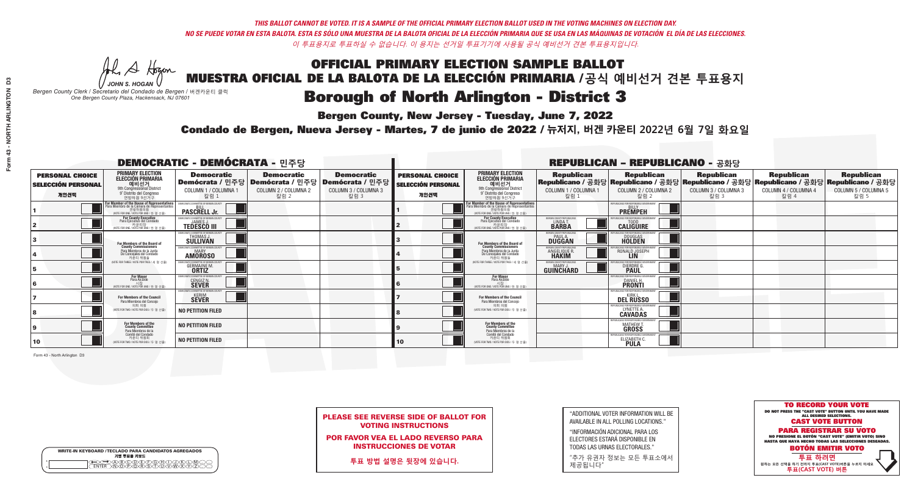A Hogan

**Bergen County, New Jersey - Tuesday, June 7, 2022** 

| <b>WRITE-IN KEYBOARD /TECLADO PARA CANDIDATOS AGREGADOS</b><br>기명 투표용 키보드 |  |
|---------------------------------------------------------------------------|--|
| DABODEEOHD.<br>WWD.P.Q.R.S.NUMM<br><b>FNTFR</b>                           |  |

*JOHN S. HOGAN Bergen County Clerk / Secretario del Condado de Bergen /* 버겐카운티 클럭 *One Bergen County Plaza, Hackensack, NJ 07601*

Condado de Bergen, Nueva Jersey - Martes, 7 de junio de 2022 / 뉴저지, 버겐 카운티 2022년 6월 7일 화요일 *One Bergen County Plaza, Hackensack, NJ 07601*



PLEASE SEE REVERSE SIDE OF BALLOT FOR VOTING INSTRUCTIONS

POR FAVOR VEA EL LADO REVERSO PARA INSTRUCCIONES DE VOTAR

**투표 방법 설명은 뒷장에 있습니다.**

"ADDITIONAL VOTER INFORMATION WILL BE AVAILABLE IN ALL POLLING LOCATIONS."

"INFORMACIÓN ADICIONAL PARA LOS ELECTORES ESTARÁ DISPONIBLE EN TODAS LAS URNAS ELECTORALES."

"추가 유권자 정보는 모든 투표소에서 제공됩니다"

|                                                             |                                                                                                                                                       |                                                                                                        |                                                   | <b>REPUBLICAN - REPUBLICANO - 공화당</b>             |                                                             |                                                                                                                                   |                                                             |                                                                                                                                                |                                                   |                                                   |                                                   |
|-------------------------------------------------------------|-------------------------------------------------------------------------------------------------------------------------------------------------------|--------------------------------------------------------------------------------------------------------|---------------------------------------------------|---------------------------------------------------|-------------------------------------------------------------|-----------------------------------------------------------------------------------------------------------------------------------|-------------------------------------------------------------|------------------------------------------------------------------------------------------------------------------------------------------------|---------------------------------------------------|---------------------------------------------------|---------------------------------------------------|
| <b>PERSONAL CHOICE</b><br><b>SELECCIÓN PERSONAL</b><br>개인선택 | <b>PRIMARY ELECTION</b><br><b>ELECCIÓN PRIMARIA</b><br>예비선거<br><sup>9th</sup> Congressional District<br>9° Distrito del Congreso<br>연방하원 9선거구         | <b>Democratic</b><br>│Demócrata / 민주당│Demócrata / 민주당│Demócrata / 민주당│<br>COLUMN 1 / COLUMNA 1<br>칼럼 1 | <b>Democratic</b><br>COLUMN 2 / COLUMNA 2<br>칼럼 2 | <b>Democratic</b><br>COLUMN 3 / COLUMNA 3<br>칼럼 3 | <b>PERSONAL CHOICE</b><br><b>SELECCIÓN PERSONAL</b><br>개인선택 | <b>PRIMARY ELECTION</b><br>ELECCIÓN PRIMARIA<br>9th Congressional District<br>9° Distrito del Congreso<br>연방하원 9선거구               | <b>Republican</b><br>COLUMN 1 / COLUMNA 1<br>칼럼 1           | <b>Republican</b><br>Republicano / 공화당 Republicano / 공화당 Republicano / 공화당 Republicano / 공화당 Republicano / 공화당<br>COLUMN 2 / COLUMNA 2<br>칼럼 2 | <b>Republican</b><br>COLUMN 3 / COLUMNA 3<br>칼럼 3 | <b>Republican</b><br>COLUMN 4 / COLUMNA 4<br>칼럼 4 | <b>Republican</b><br>COLUMN 5 / COLUMNA 5<br>칼럼 5 |
|                                                             | F <b>or Member of the House of Representatives</b><br>Para Miembro de la Cámara de Representantes<br>연방하원의원<br>(VOTE FOR ONE / VOTE POR UNO / 한 명 선출) | COMMITTEE OF BERGEN COUNT<br><b>PASCRELL Jr.</b>                                                       |                                                   |                                                   |                                                             | For Member of the House of Representatives<br>Para Miembro de la Cámara de Representantes<br>WOTE FOR ONE / VOTE POR UNO / 한 명 선출 |                                                             | PUBLICANS FOR RESPONSIBLE GOVERNMENT<br><b>PREMPEH</b>                                                                                         |                                                   |                                                   |                                                   |
|                                                             | For County Executive<br>Para Ejecutivo del Condado<br>가운티장 - 카운티장<br>(VOTE FOR ONE / VOTE POR UNO / 한 명 선출)                                           | EMOCRATIC COMMITTEE OF BERGEN COUNT<br><b>TEDESCO III</b>                                              |                                                   |                                                   |                                                             | <b>For County Executive</b><br>Para Ejecutivo del Condado<br>(VOTE FOR ONE / VOTE POR UNO / 한 명 선출                                | ERGEN COUNTY REPUBLICAN<br>LINDA T.                         | <b>CALIGUIRE</b>                                                                                                                               |                                                   |                                                   |                                                   |
|                                                             | <b>For Members of the Board of<br/>County Commissioners</b>                                                                                           | <b>EMOCRATIC COMMITTEE OF BERGEN COUNTY</b><br>THOMAS J.                                               |                                                   |                                                   |                                                             | For Members of the Board of<br>County Commissioners                                                                               | BERGEN COUNTY REPUBLICAN<br><b>PAUL A.</b><br><b>DUGGAN</b> | <b>DOUGLAS</b>                                                                                                                                 |                                                   |                                                   |                                                   |
|                                                             | Para Miembros de la Junta<br>De Concejales del Condado<br>카운티 위원들                                                                                     | <b>EMOCRATIC COMMITTEE OF BERGEN COUNTY</b><br><b>AMOROSO</b>                                          |                                                   |                                                   |                                                             | Para Miembros de la Junta<br>De Concejales del Condado<br>카운티 위원들                                                                 | ERGEN COUNTY REPUBLICA<br>ANGELIQUE R.                      | RONALD JOSEPH<br><b>LIN</b>                                                                                                                    |                                                   |                                                   |                                                   |
|                                                             | NOTE FOR THREE / VOTE POR TRES / 세 명 선출)                                                                                                              | RATIC COMMITTEE OF RERGEN COI<br><b>GERMAINE M.</b>                                                    |                                                   |                                                   |                                                             | (VOTE FOR THREE / VOTE POR TRES / 세 명 선출)                                                                                         | ERGEN COUNTY REPUBLICAN<br>MARY J<br>GUINCHARD              | DIERDRE G                                                                                                                                      |                                                   |                                                   |                                                   |
|                                                             | <b>For Mayor</b><br>Para Alcalde<br>시장<br>(VOTE FOR ONE / VOTE POR UNO / 한 명 선출)                                                                      | CRATIC COMMITTEE OF BERGEN COUNT<br><b>CENGIZ N.</b>                                                   |                                                   |                                                   |                                                             | <b>For Mayor</b><br>Para Alcalde<br>시장<br>(VOTE FOR ONE / VOTE POR UNO / 한 명 선출                                                   |                                                             | <b>FOR RESPONSIBLE G</b><br>DANIEL H.                                                                                                          |                                                   |                                                   |                                                   |
|                                                             | For Members of the Council<br>Para Miembros del Concejo                                                                                               | MOCRATIC COMMITTEE OF BERGEN COUNTY<br><b>SEVER</b>                                                    |                                                   |                                                   |                                                             | <b>For Members of the Council</b><br>Para Miembros del Concejo                                                                    |                                                             | PHRI ICANS ENR RESPONSIRI E G<br>KIRK I<br><b>DEL RUSSO</b>                                                                                    |                                                   |                                                   |                                                   |
|                                                             | 의회 의원<br>(VOTE FOR TWO / VOTE POR DOS / 두 명 선출)                                                                                                       | <b>NO PETITION FILED</b>                                                                               |                                                   |                                                   |                                                             | 의회 의원<br>(VOTE FOR TWO / VOTE POR DOS / 두 명 선출)                                                                                   |                                                             | PUBLICANS FOR RESPONSIBLE GOVE<br>LYNETTE A.                                                                                                   |                                                   |                                                   |                                                   |
|                                                             | For Members of the<br>County Committee<br>Para Miembros de la<br>Comité del Condado                                                                   | <b>NO PETITION FILED</b>                                                                               |                                                   |                                                   |                                                             | For Members of the<br>County Committee<br>Para Miembros de la<br>Comité del Condado                                               |                                                             | <b>MATHEW T.</b><br><b>GROSS</b>                                                                                                               |                                                   |                                                   |                                                   |
| 10                                                          | 카운티 위원회<br>(VOTE FOR TWO / VOTE POR DOS / 두 명 선출)                                                                                                     | <b>NO PETITION FILED</b>                                                                               |                                                   |                                                   | 10                                                          | 카운티 위원회<br>(VOTE FOR TWO / VOTE POR DOS / 두 명 선출)                                                                                 |                                                             | ELIZABETH                                                                                                                                      |                                                   |                                                   |                                                   |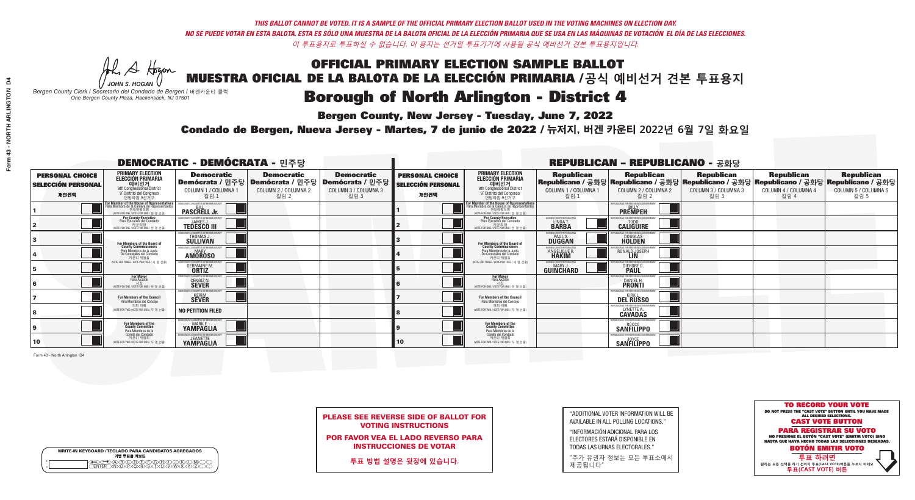A Hogan

**Bergen County, New Jersey - Tuesday, June 7, 2022** 

| <b>WRITE-IN KEYBOARD /TECLADO PARA CANDIDATOS AGREGADOS</b><br>기명 투표용 키보드 |  |
|---------------------------------------------------------------------------|--|
| DA BOORDDOADDIND<br>DIN OPORSIDOARWAY<br><b>FNTFR</b>                     |  |

*JOHN S. HOGAN Bergen County Clerk / Secretario del Condado de Bergen /* 버겐카운티 클럭 *One Bergen County Plaza, Hackensack, NJ 07601*



PLEASE SEE REVERSE SIDE OF BALLOT FOR VOTING INSTRUCTIONS

POR FAVOR VEA EL LADO REVERSO PARA INSTRUCCIONES DE VOTAR

**투표 방법 설명은 뒷장에 있습니다.**

| "ADDITIONAL VOTER INFORMATION WILL BE |
|---------------------------------------|
| AVAILABLE IN ALL POLLING LOCATIONS."  |

"INFORMACIÓN ADICIONAL PARA LOS ELECTORES ESTARÁ DISPONIBLE EN TODAS LAS URNAS ELECTORALES."

"추가 유권자 정보는 모든 투표소에서 제공됩니다"

Condado de Bergen, Nueva Jersey - Martes, 7 de junio de 2022 / 뉴저지, 버겐 카운티 2022년 6월 7일 화요일 *One Bergen County Plaza, Hackensack, NJ 07601*

| <b>DEMOCRATIC - DEMÓCRATA - 민주당</b>                         |                                                                                                                                                   |                                                                        |                                                   |                                                                                                        |                                                             |                                                                                                                                                             |                                                            | <b>REPUBLICAN - REPUBLICANO - 공화당</b>                                                                                                           |                                                   |                                                   |                                                   |
|-------------------------------------------------------------|---------------------------------------------------------------------------------------------------------------------------------------------------|------------------------------------------------------------------------|---------------------------------------------------|--------------------------------------------------------------------------------------------------------|-------------------------------------------------------------|-------------------------------------------------------------------------------------------------------------------------------------------------------------|------------------------------------------------------------|-------------------------------------------------------------------------------------------------------------------------------------------------|---------------------------------------------------|---------------------------------------------------|---------------------------------------------------|
| <b>PERSONAL CHOICE</b><br><b>SELECCIÓN PERSONAL</b><br>개인선택 | <b>PRIMARY ELECTION</b><br>ELECCIÓN PRIMARIA<br>예비선거<br><sup>9th</sup> Congressional District<br>9° Distrito del Congreso<br>연방하원 9선거구            | <b>Democratic</b><br>COLUMN 1 / COLUMNA 1<br>칼럼 1                      | <b>Democratic</b><br>COLUMN 2 / COLUMNA 2<br>칼럼 2 | <b>Democratic</b><br>│Demócrata / 민주당│Demócrata / 민주당│Demócrata / 민주당│<br>COLUMN 3 / COLUMNA 3<br>칼럼 3 | <b>PERSONAL CHOICE</b><br><b>SELECCIÓN PERSONAL</b><br>개인선택 | <b>PRIMARY ELECTION</b><br>ELECCIÓN PRIMARIA<br>9th Congressional District<br>9° Distrito del Congreso<br>연방하원 9선거구                                         | <b>Republican</b><br>COLUMN 1 / COLUMNA 1<br>칼럼 1          | <b>Republican</b><br>│Republicano / 공화당│Republicano / 공화당│Republicano / 공화당│Republicano / 공화당│Republicano / 공화당<br>COLUMN 2 / COLUMNA 2<br>칼럼 2 | <b>Republican</b><br>COLUMN 3 / COLUMNA 3<br>칼럼 3 | <b>Republican</b><br>COLUMN 4 / COLUMNA 4<br>칼럼 4 | <b>Republican</b><br>COLUMN 5 / COLUMNA 5<br>칼럼 5 |
|                                                             | <b>r Member of the House of Representatives</b><br>ara Miembro de la Cámara de Representantes<br>연방하원의원<br>(VOTE FOR ONE / VOTE POR UNO / 한 명 선출) | <b>PASCRELL Jr.</b>                                                    |                                                   |                                                                                                        |                                                             | F <mark>or Member of the House of Representatives</mark><br>Para Miembro de la Cámara de Representantes<br>연방하원의원<br>(VOTE FOR ONE / VOTE POR UNO / 한 명 선출) |                                                            | <b>FPUBLICANS FOR RESPONSIBLE GOVERNI</b><br><b>PREMPEH</b>                                                                                     |                                                   |                                                   |                                                   |
|                                                             | For County Executive<br>Para Ejecutivo del Condado<br>가운티장<br>(VOTE FOR ONE / VOTE POR UNO / 한 명 선출)                                              | JEMOCRATIC COMMITTEE OF BERGEN COUNTY<br><b>TEDESCO III</b>            |                                                   |                                                                                                        |                                                             | <b>For County Executive</b><br>Para Ejecutivo del Condado<br>7) 카운티장<br>(VOTE FOR ONE / VOTE POR UNO / 한 명 선출)                                              | BERGEN COUNTY REPUBLICAN<br>LINDA T.                       | PHRI ICANS FOR RESPONSIRI E GOVERNME!<br><b>CALIGUIRE</b>                                                                                       |                                                   |                                                   |                                                   |
|                                                             | For Members of the Board of<br>County Commissioners                                                                                               | EMOCRATIC COMMITTEE OF BERGEN COUNT<br>THOMAS J.                       |                                                   |                                                                                                        |                                                             | For Members of the Board of<br>County Commissioners                                                                                                         | ERGEN COUNTY REPUBLICAN<br><b>PAUL A.</b><br><b>DUGGAN</b> | <b>DOUGLAS</b>                                                                                                                                  |                                                   |                                                   |                                                   |
|                                                             | Para Miembros de la Junta<br>De Concejales del Condado<br>카우티 위원들                                                                                 | MOCRATIC COMMITTEE OF BERGEN COUNT<br><b>AMOROSO</b>                   |                                                   |                                                                                                        |                                                             | Para Miembros de la Junta<br>De Concejales del Condado<br>카우티 위원들                                                                                           | <b>ERGEN COUNTY REPUBLICAN</b><br>ANGELIQUE R              | RONALD JOSEPH<br><b>LIN</b>                                                                                                                     |                                                   |                                                   |                                                   |
|                                                             | NOTE FOR THREE / VOTE POR TRES / 세 명 선출)                                                                                                          | <b>GERMAINE M.</b><br><b>ORTIZ</b>                                     |                                                   |                                                                                                        |                                                             | (VOTE FOR THREE / VOTE POR TRES / 세 명 선출)                                                                                                                   | ERGEN COUNTY REPUBLICANS<br>GUINCHARD                      | DIERDRE G                                                                                                                                       |                                                   |                                                   |                                                   |
|                                                             | For Mayor<br>Para Alcalde<br>WOTE FOR ONE / VOTE POR UNO / 한 명                                                                                    | MOCRATIC COMMITTEE OF BERGEN COUNTY<br><b>CENGIZ N</b><br><b>SEVER</b> |                                                   |                                                                                                        |                                                             | For Mayor<br>Para Alcalde<br>시장<br>NOTE FOR ONE / VOTE POR UNO / 한 명 선출)                                                                                    |                                                            | PHRI ICANS ENR RESPONSIRI E (<br><b>DANIEL H.</b><br><b>PRONTI</b>                                                                              |                                                   |                                                   |                                                   |
|                                                             | For Members of the Council<br>Para Miembros del Conceio                                                                                           | OCRATIC COMMITTEE OF BERGEN COUNTY<br><b>SEVER</b>                     |                                                   |                                                                                                        |                                                             | <b>For Members of the Council</b><br>Para Miembros del Conceio                                                                                              |                                                            | PUBLICANS FOR RESPONSIBLE GOVERNMEN<br><b>DEL RUSSO</b>                                                                                         |                                                   |                                                   |                                                   |
|                                                             | 의회 의원<br>(VOTE FOR TWO / VOTE POR DOS / 두 명 선출)                                                                                                   | <b>NO PETITION FILED</b>                                               |                                                   |                                                                                                        |                                                             | 의회 의원<br>NOTE FOR TWO / VOTE POR DOS / 두 명 선출)                                                                                                              |                                                            | PUBLICANS FOR RESPONSIBLE G<br>LYNETTE A.                                                                                                       |                                                   |                                                   |                                                   |
|                                                             | For Members of the<br>County Committee<br>Para Miembros de la                                                                                     | MOCRATIC COMMITTEE OF BERGEN COUNTY<br><b>YAMPAGLIA</b>                |                                                   |                                                                                                        |                                                             | For Members of the<br>County Committee<br>Para Miembros de la<br>Comité del Condado                                                                         |                                                            | PUBLICANS FOR RESPONSIBLE GOVERNMENT<br><b>SANFILIPPO</b>                                                                                       |                                                   |                                                   |                                                   |
| 10                                                          | Comité del Condado<br>카운티 위원회<br>(VOTE FOR TWO / VOTE POR DOS / 두 명 선출)                                                                           | <b>EMOCRATIC COMMITTEE OF BERGEN COUNTY</b><br><b>YAMPAGLIA</b>        |                                                   |                                                                                                        | 10                                                          | 카운티 위원회<br>(VOTE FOR TWO / VOTE POR DOS / 두 명 선출)                                                                                                           |                                                            | PUBLICANS FOR RESPONSIBLE GOVERNMEN<br><b>SANFILIPPO</b>                                                                                        |                                                   |                                                   |                                                   |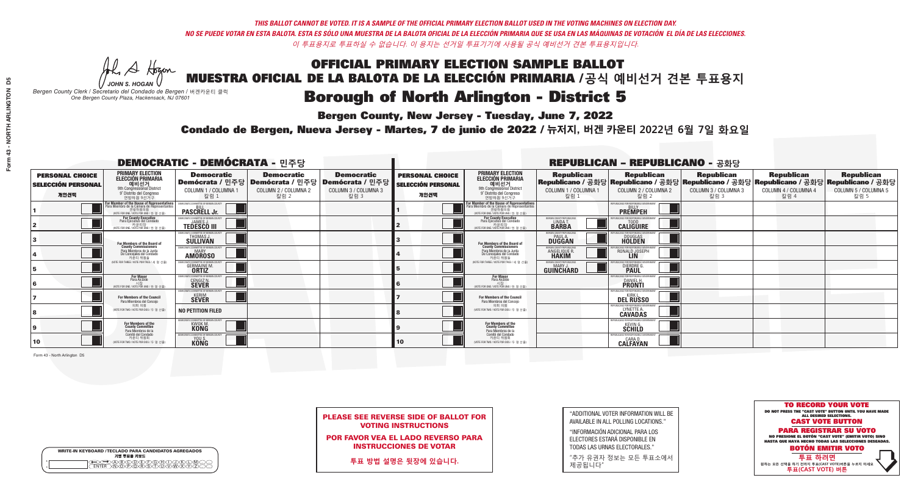A Hogan

**Bergen County, New Jersey - Tuesday, June 7, 2022** 

| <b>WRITE-IN KEYBOARD /TECLADO PARA CANDIDATOS AGREGADOS</b><br>기명 투표용 키보드 |  |
|---------------------------------------------------------------------------|--|
| >@®©®®®®®<br>}M@®@®\$\$OM                                                 |  |

*JOHN S. HOGAN Bergen County Clerk / Secretario del Condado de Bergen /* 버겐카운티 클럭 *One Bergen County Plaza, Hackensack, NJ 07601*



PLEASE SEE REVERSE SIDE OF BALLOT FOR VOTING INSTRUCTIONS

POR FAVOR VEA EL LADO REVERSO PARA INSTRUCCIONES DE VOTAR

**투표 방법 설명은 뒷장에 있습니다.**

"ADDITIONAL VOTER INFORMATION WILL BE AVAILABLE IN ALL POLLING LOCATIONS."

"INFORMACIÓN ADICIONAL PARA LOS ELECTORES ESTARÁ DISPONIBLE EN TODAS LAS URNAS ELECTORALES."

"추가 유권자 정보는 모든 투표소에서 제공됩니다"

Condado de Bergen, Nueva Jersey - Martes, 7 de junio de 2022 / 뉴저지, 버겐 카운티 2022년 6월 7일 화요일 *One Bergen County Plaza, Hackensack, NJ 07601*

| <b>DEMOCRATIC - DEMÓCRATA - 민주당</b>                         |                                                                                                                                                  |                                                                                                        |                                                   |                                                   |                                                             |                                                                                                                                                           |                                                            | <b>REPUBLICAN - REPUBLICANO - 공화당</b>                                                                                                           |                                                   |                                                   |                                                   |
|-------------------------------------------------------------|--------------------------------------------------------------------------------------------------------------------------------------------------|--------------------------------------------------------------------------------------------------------|---------------------------------------------------|---------------------------------------------------|-------------------------------------------------------------|-----------------------------------------------------------------------------------------------------------------------------------------------------------|------------------------------------------------------------|-------------------------------------------------------------------------------------------------------------------------------------------------|---------------------------------------------------|---------------------------------------------------|---------------------------------------------------|
| <b>PERSONAL CHOICE</b><br><b>SELECCIÓN PERSONAL</b><br>개인선택 | <b>PRIMARY ELECTION</b><br><b>ELECCIÓN PRIMARIA</b><br>예비선거<br>애비선거<br>9° Distrito del Congreso<br>연방하원 9선거구                                     | <b>Democratic</b><br>│Demócrata / 민주당│Demócrata / 민주당│Demócrata / 민주당│<br>COLUMN 1 / COLUMNA 1<br>칼럼 1 | <b>Democratic</b><br>COLUMN 2 / COLUMNA 2<br>칼럼 2 | <b>Democratic</b><br>COLUMN 3 / COLUMNA 3<br>칼럼 3 | <b>PERSONAL CHOICE</b><br><b>SELECCIÓN PERSONAL</b><br>개인선택 | <b>PRIMARY ELECTION</b><br>ELECCIÓN PRIMARIA<br>9th Congressional District<br>9° Distrito del Congreso<br>연방하원 9선거구                                       | <b>Republican</b><br>COLUMN 1 / COLUMNA 1<br>칼럼 1          | <b>Republican</b><br> Republicano / 공화당 Republicano / 공화당 Republicano / 공화당 Republicano / 공화당 Republicano / 공화당<br>COLUMN 2 / COLUMNA 2<br>칼럼 2 | <b>Republican</b><br>COLUMN 3 / COLUMNA 3<br>칼럼 3 | <b>Republican</b><br>COLUMN 4 / COLUMNA 4<br>칼럼 4 | <b>Republican</b><br>COLUMN 5 / COLUMNA 5<br>칼럼 5 |
|                                                             | <b>r Member of the House of Representatives</b><br>ra Miembro de la Cámara de Representantes<br>연방하원의원<br>(VOTE FOR ONE / VOTE POR UNO / 한 명 선출) | <b>PASCRELL Jr.</b>                                                                                    |                                                   |                                                   |                                                             | F <mark>or Member of the House of Representatives</mark><br>Para Miembro de la Cámara de Representantes<br>연방하원의원<br>NOTE FOR ONE / VOTE POR UNO / 한 명 선출 |                                                            | PUBLICANS FOR RESPONSIBLE GOVERNM<br><b>PREMPEH</b>                                                                                             |                                                   |                                                   |                                                   |
|                                                             | For County Executive<br>Para Ejecutivo del Condado<br>가운티장<br>(VOTE FOR ONE / VOTE POR UNO / 한 명 선출)                                             | )EMOCRATIC COMMITTEE OF BERGEN COUNTY<br><b>TEDESCO III</b>                                            |                                                   |                                                   |                                                             | For County Executive<br>Para Ejecutivo del Condado<br>7) 카운티장<br>(VOTE FOR ONE / VOTE POR UNO / 한 명 선출)                                                   | ERGEN COUNTY REPUBLICAN<br>LINDA T.                        | <b>CALIGUIRE</b>                                                                                                                                |                                                   |                                                   |                                                   |
|                                                             | <b>For Members of the Board of<br/>County Commissioners</b>                                                                                      | MOCRATIC COMMITTEE OF BERGEN COUNT<br>THOMAS J.                                                        |                                                   |                                                   |                                                             | For Members of the Board of<br>County Commissioners                                                                                                       | ERGEN COUNTY REPUBLICAN<br><b>PAUL A.</b><br><b>DUGGAN</b> | <b>DOUGLAS</b>                                                                                                                                  |                                                   |                                                   |                                                   |
|                                                             | Para Miembros de la Junta<br>De Concejales del Condado<br>카우티 위원들                                                                                | MOCRATIC COMMITTEE OF BERGEN COUN'<br><b>AMOROSO</b>                                                   |                                                   |                                                   |                                                             | Para Miembros de la Junta<br>De Concejales del Condado<br>카운티 위원들                                                                                         | <b>ERGEN COUNTY REPUBLICAN</b><br>ANGELIQUE R              | RONALD JOSEPH                                                                                                                                   |                                                   |                                                   |                                                   |
|                                                             | NOTE FOR THREE / VOTE POR TRES / 세 명 선축)                                                                                                         | RATIC COMMITTEE OF BERGEN COUN'<br><b>GERMAINE M.</b><br><b>ORTIZ</b>                                  |                                                   |                                                   |                                                             | (VOTE FOR THREE / VOTE POR TRES / 세 명 선출)                                                                                                                 | ERGEN COUNTY REPUBLICANS<br><b>GUINCHARD</b>               | ICANS FOR RESPONSIRI E G<br>DIERDRE G.                                                                                                          |                                                   |                                                   |                                                   |
|                                                             | For Mayor<br>Para Alcalde<br>WOTE FOR ONE / VOTE POR UNO / 한 명 선생                                                                                | EMOCRATIC COMMITTEE OF BERGEN COUNTY<br><b>CENGIZ N.</b>                                               |                                                   |                                                   |                                                             | For Mayor<br>Para Alcalde<br>WOTE FOR ONE / VOTE POR UNO / 한 명 선출)                                                                                        |                                                            | <b>DANIEL H.</b><br><b>PRONTI</b>                                                                                                               |                                                   |                                                   |                                                   |
|                                                             | For Members of the Council<br>Para Miembros del Conceio                                                                                          | MOCRATIC COMMITTEE OF BERGEN COUNTY<br><b>SEVER</b>                                                    |                                                   |                                                   |                                                             | For Members of the Council<br>Para Miembros del Conceio                                                                                                   |                                                            | PUBLICANS FOR RESPONSIBLE GOVERNMENT<br><b>DEL RUSSO</b>                                                                                        |                                                   |                                                   |                                                   |
|                                                             | 의회 의원<br>(VOTE FOR TWO / VOTE POR DOS / 두 명 선출)                                                                                                  | <b>NO PETITION FILED</b>                                                                               |                                                   |                                                   |                                                             | 의회 의원<br>NOTE FOR TWO / VOTE POR DOS / 두 명 선출)                                                                                                            |                                                            | LYNETTE A.                                                                                                                                      |                                                   |                                                   |                                                   |
|                                                             | For Members of the<br>County Committee<br>Para Miembros de la                                                                                    | MOCRATIC COMMITTEE OF BERGEN COUNT<br><b>KWOK M.</b>                                                   |                                                   |                                                   |                                                             | For Members of the<br>County Committee<br>Para Miembros de la<br>Comité del Condado                                                                       |                                                            | PUBLICANS FOR RESPONSIBLE G<br><b>KEVING.</b>                                                                                                   |                                                   |                                                   |                                                   |
| 10                                                          | Comité del Condado<br>카운티 위원회<br>(VOTE FOR TWO / VOTE POR DOS / 두 명 선출)                                                                          | )EMOCRATIC COMMITTEE OF BERGEN COUNTY<br>YOU S.                                                        |                                                   |                                                   | 10 <sup>°</sup>                                             | 카운티 위원회<br>(VOTE FOR TWO / VOTE POR DOS / 두 명 선출)                                                                                                         |                                                            | CARA D.<br><b>CALFAYAN</b>                                                                                                                      |                                                   |                                                   |                                                   |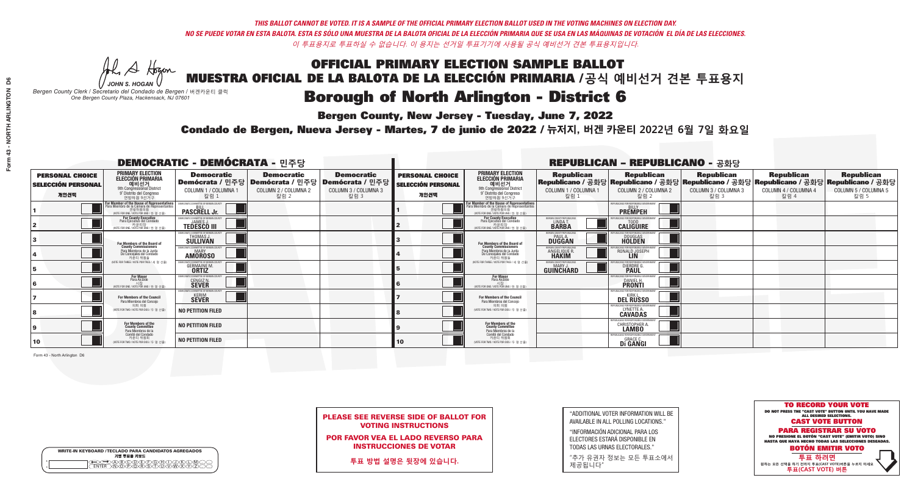A Hogen

**Bergen County, New Jersey - Tuesday, June 7, 2022** 

| <b>WRITE-IN KEYBOARD /TECLADO PARA CANDIDATOS AGREGADOS</b><br>기명 투표용 키보드 |  |
|---------------------------------------------------------------------------|--|
| DABODEEOHD.<br>WWD.P.Q.R.S.NUMM<br><b>FNTFR</b>                           |  |

*JOHN S. HOGAN Bergen County Clerk / Secretario del Condado de Bergen /* 버겐카운티 클럭 *One Bergen County Plaza, Hackensack, NJ 07601*

Condado de Bergen, Nueva Jersey - Martes, 7 de junio de 2022 / 뉴저지, 버겐 카운티 2022년 6월 7일 화요일 *One Bergen County Plaza, Hackensack, NJ 07601*



PLEASE SEE REVERSE SIDE OF BALLOT FOR VOTING INSTRUCTIONS

POR FAVOR VEA EL LADO REVERSO PARA INSTRUCCIONES DE VOTAR

**투표 방법 설명은 뒷장에 있습니다.**

| "ADDITIONAL VOTER INFORMATION WILL BE |
|---------------------------------------|
| AVAILABLE IN ALL POLLING LOCATIONS."  |

"INFORMACIÓN ADICIONAL PARA LOS ELECTORES ESTARÁ DISPONIBLE EN TODAS LAS URNAS ELECTORALES."

"추가 유권자 정보는 모든 투표소에서 제공됩니다"

| <b>DEMOCRATIC - DEMÓCRATA - 민주당</b>                         |                                                                                                                                                      |                                                         |                                                                                                        |                                                   |                                                             | <b>REPUBLICAN - REPUBLICANO - 공화당</b>                                                                                                       |                                                             |                                                                    |                                                                                                                                                 |                                                   |                                                   |  |
|-------------------------------------------------------------|------------------------------------------------------------------------------------------------------------------------------------------------------|---------------------------------------------------------|--------------------------------------------------------------------------------------------------------|---------------------------------------------------|-------------------------------------------------------------|---------------------------------------------------------------------------------------------------------------------------------------------|-------------------------------------------------------------|--------------------------------------------------------------------|-------------------------------------------------------------------------------------------------------------------------------------------------|---------------------------------------------------|---------------------------------------------------|--|
| <b>PERSONAL CHOICE</b><br><b>SELECCIÓN PERSONAL</b><br>개인선택 | <b>PRIMARY ELECTION</b><br><b>ELECCIÓN PRIMARIA</b><br>예비선거<br>애 Congressional District<br>9° Distrito del Congreso<br>연방하원 9선거구                     | <b>Democratic</b><br>COLUMN 1 / COLUMNA 1<br>칼럼 1       | <b>Democratic</b><br>│Demócrata / 민주당│Demócrata / 민주당│Demócrata / 민주당│<br>COLUMN 2 / COLUMNA 2<br>칼럼 2 | <b>Democratic</b><br>COLUMN 3 / COLUMNA 3<br>칼럼 3 | <b>PERSONAL CHOICE</b><br><b>SELECCIÓN PERSONAL</b><br>개인선택 | <b>PRIMARY ELECTION</b><br>ELECCIÓN PRIMARIA<br>9th Congressional District<br>9° Distrito del Congreso<br>연방하원 9선거구                         | <b>Republican</b><br>COLUMN 1 / COLUMNA 1<br>칼럼             | <b>Republican</b><br>COLUMN 2 / COLUMNA 2<br>칼럼 2                  | <b>Republican</b><br>│Republicano / 공화당│Republicano / 공화당│Republicano / 공화당│Republicano / 공화당│Republicano / 공화당<br>COLUMN 3 / COLUMNA 3<br>칼럼 3 | <b>Republican</b><br>COLUMN 4 / COLUMNA 4<br>칼럼 4 | <b>Republican</b><br>COLUMN 5 / COLUMNA 5<br>칼럼 5 |  |
|                                                             | F <b>or Member of the House of Representatives</b><br>Para Miembro de la Cámara de Representantes<br>연방하원의원<br>(VOTE FOR ONE / VOTE POR UNO / 한 명 선출 | COMMITTEE OF BERGEN COUNTY<br><b>PASCRELL Jr.</b>       |                                                                                                        |                                                   |                                                             | For Member of the House of Representatives<br>Para Miembro de la Cámara de Representantes<br>겨방하워의워<br>NOTE FOR ONE / VOTE POR UNO / 한 명 선출 |                                                             | PUBLICANS FOR RESPONSIBLE GOVERNMENT<br><b>PREMPEH</b>             |                                                                                                                                                 |                                                   |                                                   |  |
|                                                             | For County Executive<br>Para Ejecutivo del Condado<br>WOTE FOR ONE / VOTE POR UNO / 한 명 선출)                                                          | <b>TEDESCO III</b>                                      |                                                                                                        |                                                   |                                                             | For County Executive<br>Para Ejecutivo del Condado<br>WOTE FOR ONE / VOTE POR UNO / 한 명 선출)                                                 | ERGEN COUNTY REPUBLICAN<br>LINDA T.                         | <b>CALIGUIRE</b>                                                   |                                                                                                                                                 |                                                   |                                                   |  |
|                                                             | For Members of the Board of<br>County Commissioners                                                                                                  | <b>EMOCRATIC COMMITTEE OF BERGEN COUNT</b><br>THOMAS J. |                                                                                                        |                                                   |                                                             | For Members of the Board of<br>County Commissioners                                                                                         | BERGEN COUNTY REPUBLICAN<br><b>PAUL A.</b><br><b>DUGGAN</b> | <b>DOUGLAS</b><br><b>HOLDEN</b>                                    |                                                                                                                                                 |                                                   |                                                   |  |
|                                                             | Para Miembros de la Junta<br>De Concejales del Condado<br>카우티 위원들                                                                                    | MOCRATIC COMMITTEE OF BERGEN COUNTY<br><b>AMOROSO</b>   |                                                                                                        |                                                   |                                                             | Para Miembros de la Junta<br>De Concejales del Condado<br>카우티 위원들                                                                           | 'ERGEN COUNTY REPUBLICAI<br>ANGELIQUE F<br><b>HAKIM</b>     | RONALD JOSEPH<br><b>LIN</b>                                        |                                                                                                                                                 |                                                   |                                                   |  |
|                                                             | (VOTE FOR THREE / VOTE POR TRES / 세 명 선출)                                                                                                            | IATIC COMMITTEE OF RERGEN O<br><b>GERMAINE M.</b>       |                                                                                                        |                                                   |                                                             | NOTE FOR THREE / VOTE POR TRES / 세 명 선출)                                                                                                    | ERGEN COUNTY REPUBLICAN<br>MARY J<br>GUINCHARD              | DIERDRE G                                                          |                                                                                                                                                 |                                                   |                                                   |  |
| Iб                                                          | <b>For Mayor</b><br>Para Alcalde                                                                                                                     | ATIC COMMITTEE OF BERGEN COUNTY<br><b>CENGIZ N.</b>     |                                                                                                        |                                                   |                                                             | <b>For Mayor</b><br>Para Alcalde<br>NOTE FOR ONE / VOTE POR UNO / 한 명 선출                                                                    |                                                             | FOR RESPONSIBLE GO<br>DANIEL H.                                    |                                                                                                                                                 |                                                   |                                                   |  |
|                                                             | For Members of the Council<br>Para Miembros del Conceio                                                                                              | MOCRATIC COMMITTEE OF BERGEN COUNTY<br><b>SEVER</b>     |                                                                                                        |                                                   |                                                             | <b>For Members of the Council</b><br>Para Miembros del Conceio                                                                              |                                                             | PUBLICANS FOR RESPONSIBLE GO<br><b>DEL RUSSO</b>                   |                                                                                                                                                 |                                                   |                                                   |  |
|                                                             | 의회 의워<br>(VOTE FOR TWO / VOTE POR DOS / 두 명 선출)                                                                                                      | <b>NO PETITION FILED</b>                                |                                                                                                        |                                                   |                                                             | 이히 이워<br>(VOTE FOR TWO / VOTE POR DOS / 두 명 선출)                                                                                             |                                                             | PUBLICANS FOR RESPONSIBLE G<br>LYNETTE A.                          |                                                                                                                                                 |                                                   |                                                   |  |
|                                                             | For Members of the<br>County Committee<br>Para Miembros de la                                                                                        | <b>NO PETITION FILED</b>                                |                                                                                                        |                                                   |                                                             | For Members of the<br>County Committee<br>Para Miembros de la                                                                               |                                                             | UBLICANS FOR RESPONSIBLE (<br>CHRISTOPHER A.<br><b>LAMBO</b>       |                                                                                                                                                 |                                                   |                                                   |  |
| 10                                                          | Comité del Condado<br>카운티 위원회<br>(VOTE FOR TWO / VOTE POR DOS / 두 명 선출)                                                                              | <b>NO PETITION FILED</b>                                |                                                                                                        |                                                   | $ 10\rangle$                                                | Comité del Condado<br>카운티 위원회<br>(VOTE FOR TWO / VOTE POR DOS / 두 명 선출)                                                                     |                                                             | EPUBLICANS FOR RESPONSIBLE G<br><b>GRACE C.</b><br><b>Di GANGI</b> |                                                                                                                                                 |                                                   |                                                   |  |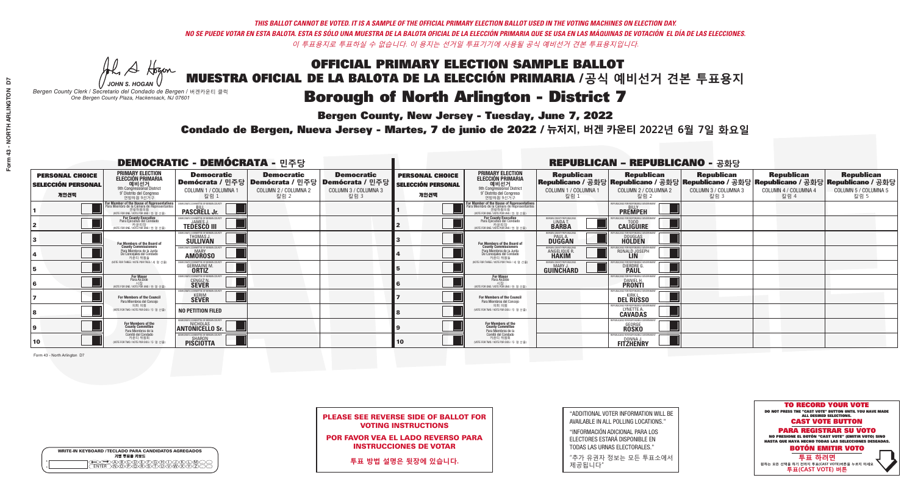A Hogan

**Bergen County, New Jersey - Tuesday, June 7, 2022** 

| <b>WRITE-IN KEYBOARD /TECLADO PARA CANDIDATOS AGREGADOS</b><br>기명 투표용 키보드 |  |
|---------------------------------------------------------------------------|--|
| E@®©®®®®®®©©®<br>BM®®®®®®®™™®®®                                           |  |

*JOHN S. HOGAN Bergen County Clerk / Secretario del Condado de Bergen /* 버겐카운티 클럭 *One Bergen County Plaza, Hackensack, NJ 07601*



PLEASE SEE REVERSE SIDE OF BALLOT FOR VOTING INSTRUCTIONS

POR FAVOR VEA EL LADO REVERSO PARA INSTRUCCIONES DE VOTAR

**투표 방법 설명은 뒷장에 있습니다.**

| "ADDITIONAL VOTER INFORMATION WILL BE |
|---------------------------------------|
| AVAILABLE IN ALL POLLING LOCATIONS."  |

"INFORMACIÓN ADICIONAL PARA LOS ELECTORES ESTARÁ DISPONIBLE EN TODAS LAS URNAS ELECTORALES."

"추가 유권자 정보는 모든 투표소에서 제공됩니다"

Condado de Bergen, Nueva Jersey - Martes, 7 de junio de 2022 / 뉴저지, 버겐 카운티 2022년 6월 7일 화요일 *One Bergen County Plaza, Hackensack, NJ 07601*

| <b>DEMOCRATIC - DEMÓCRATA - 민주당</b>                         |                                                                                                                                                           |                                                            |                                                                                                        |                                                   |                                                             | <b>REPUBLICAN - REPUBLICANO - 공화당</b>                                                                                                             |                                                                   |                                                                    |                                                                                                                                                 |                                                   |                                                   |  |  |
|-------------------------------------------------------------|-----------------------------------------------------------------------------------------------------------------------------------------------------------|------------------------------------------------------------|--------------------------------------------------------------------------------------------------------|---------------------------------------------------|-------------------------------------------------------------|---------------------------------------------------------------------------------------------------------------------------------------------------|-------------------------------------------------------------------|--------------------------------------------------------------------|-------------------------------------------------------------------------------------------------------------------------------------------------|---------------------------------------------------|---------------------------------------------------|--|--|
| <b>PERSONAL CHOICE</b><br><b>SELECCIÓN PERSONAL</b><br>개인선택 | <b>PRIMARY ELECTION</b><br><b>ELECCIÓN PRIMARIA</b><br>예비선거<br>애비선거<br>9° Distrito del Congreso<br>연방하원 9선거구                                              | <b>Democratic</b><br>COLUMN 1 / COLUMNA 1<br>칼럼 :          | <b>Democratic</b><br>│Demócrata / 민주당│Demócrata / 민주당│Demócrata / 민주당│<br>COLUMN 2 / COLUMNA 2<br>칼럼 2 | <b>Democratic</b><br>COLUMN 3 / COLUMNA 3<br>칼럼 3 | <b>PERSONAL CHOICE</b><br><b>SELECCIÓN PERSONAL</b><br>개인선택 | <b>PRIMARY ELECTION</b><br>ELECCIÓN PRIMARIA<br>9th Congressional District<br>9° Distrito del Congreso<br>연방하원 9선거구                               | <b>Republican</b><br>COLUMN 1 / COLUMNA 1<br>칼럼 1                 | <b>Republican</b><br>COLUMN 2 / COLUMNA 2<br>칼럼 2                  | <b>Republican</b><br> Republicano / 공화당 Republicano / 공화당 Republicano / 공화당 Republicano / 공화당 Republicano / 공화당<br>COLUMN 3 / COLUMNA 3<br>칼럼 3 | <b>Republican</b><br>COLUMN 4 / COLUMNA 4<br>칼럼 4 | <b>Republican</b><br>COLUMN 5 / COLUMNA 5<br>칼럼 5 |  |  |
|                                                             | or M <mark>ember of the House of Representatives</mark><br>ara Miembro de la Cámara de Representantes<br>연방하원의원<br>(VOTE FOR ONE / VOTE POR UNO / 한 명 선출) | <b>PASCRELL Jr.</b>                                        |                                                                                                        |                                                   |                                                             | <b>for Member of the House of Representatives</b><br>Para Miembro de la Cámara de Representantes<br>연방하원의원<br>NOTE FOR ONE / VOTE POR UNO / 하 명 · |                                                                   | PUBLICANS FOR RESPONSIBLE GOVERNM<br><b>PREMPEH</b>                |                                                                                                                                                 |                                                   |                                                   |  |  |
|                                                             | For County Executive<br>Para Ejecutivo del Condado<br>7 카운티장<br>(VOTE FOR ONE / VOTE POR UNO / 한 명 선출)                                                    | EMOCRATIC COMMITTEE OF BERGEN COUNTY<br><b>TEDESCO III</b> |                                                                                                        |                                                   |                                                             | For County Executive<br>Para Ejecutivo del Condado<br>가운티장<br>(VOTE FOR ONE / VOTE POR UNO / 한 명 선출)                                              | ERGEN COUNTY REPUBLICAN<br>LINDA T.                               | <b>CALIGUIRE</b>                                                   |                                                                                                                                                 |                                                   |                                                   |  |  |
|                                                             | For Members of the Board of<br>County Commissioners                                                                                                       | IOCRATIC COMMITTEE OF BERGEN COUNT<br>THOMAS J.            |                                                                                                        |                                                   |                                                             | For Members of the Board of<br>County Commissioners                                                                                               | <b>ERGEN COUNTY REPUBLICAN</b><br><b>PAUL A.</b><br><b>DUGGAN</b> | <b>DOUGLAS</b>                                                     |                                                                                                                                                 |                                                   |                                                   |  |  |
|                                                             | Para Miembros de la Junta<br>De Concejales del Condado<br>카우티 위원들                                                                                         | MOCRATIC COMMITTEE OF BERGEN COUN'<br><b>AMOROSO</b>       |                                                                                                        |                                                   |                                                             | Para Miembros de la Junta<br>De Concejales del Condado<br>카우티 위원들                                                                                 | ERGEN COUNTY REPUBLICAN<br>ANGELIQUE F<br><b>HAKIM</b>            | RONALD JOSEPH                                                      |                                                                                                                                                 |                                                   |                                                   |  |  |
|                                                             | (VOTE FOR THREE / VOTE POR TRES / 세 명 선출)                                                                                                                 | ITIC COMMITTEE OF RERGEN COLIN<br><b>GERMAINE M.</b>       |                                                                                                        |                                                   |                                                             | (VOTE FOR THREE / VOTE POR TRES / 세 명 선출)                                                                                                         | ERGEN COUNTY REPUBLICANS<br><b>GUINCHARD</b>                      | CANS FOR RESPONSIRI E GI<br>DIERDRE G.                             |                                                                                                                                                 |                                                   |                                                   |  |  |
|                                                             | For Mayor<br>Para Alcalde<br>시장<br>(VOTE FOR ONE / VOTE POR UNO / 한 명 선립                                                                                  | MOCRATIC COMMITTEE OF BERGEN COUNTY<br><b>CENGIZ N.</b>    |                                                                                                        |                                                   |                                                             | For Mayor<br>Para Alcalde<br>(VOTE FOR ONE / VOTE POR UNO / 한 명 선출)                                                                               |                                                                   | <b>DANIEL H.</b><br><b>PRONTI</b>                                  |                                                                                                                                                 |                                                   |                                                   |  |  |
|                                                             | For Members of the Council<br>Para Miembros del Conceio                                                                                                   | OCRATIC COMMITTEE OF BERGEN COUNTY<br><b>SEVER</b>         |                                                                                                        |                                                   |                                                             | <b>For Members of the Council</b><br>Para Miembros del Conceio                                                                                    |                                                                   | PUBLICANS FOR RESPONSIBLE GOVERNMENT<br><b>DEL RUSSO</b>           |                                                                                                                                                 |                                                   |                                                   |  |  |
|                                                             | 의회 의원<br>(VOTE FOR TWO / VOTE POR DOS / 두 명 선출)                                                                                                           | <b>NO PETITION FILED</b>                                   |                                                                                                        |                                                   |                                                             | 의회 의원<br>(VOTE FOR TWO / VOTE POR DOS / 두 명 선출)                                                                                                   |                                                                   | <b>CAVADAS</b>                                                     |                                                                                                                                                 |                                                   |                                                   |  |  |
|                                                             | For Members of the<br>County Committee<br>Para Miembros de la                                                                                             | MOCRATIC COMMITTEE OF BERGEN COUNTY<br>ANTONICHOLAS        |                                                                                                        |                                                   |                                                             | For Members of the<br>County Committee<br>Para Miembros de la<br>Comité del Condado                                                               |                                                                   | FPUBLICANS FOR RESPONSIBLE GO<br><b>GEORGE</b><br><b>ROSKO</b>     |                                                                                                                                                 |                                                   |                                                   |  |  |
| 10                                                          | Comité del Condado<br>카운티 위원회<br>(VOTE FOR TWO / VOTE POR DOS / 두 명 선출)                                                                                   | DEMOCRATIC COMMITTEE OF BERGEN COUNTY<br><b>PISCIOTTA</b>  |                                                                                                        |                                                   | $ 10\rangle$                                                | 카운티 위원회<br>(VOTE FOR TWO / VOTE POR DOS / 두 명 선출)                                                                                                 |                                                                   | PUBLICANS FOR RESPONSIBLE GOVERNMENT<br>DONNA.<br><b>FITZHENRY</b> |                                                                                                                                                 |                                                   |                                                   |  |  |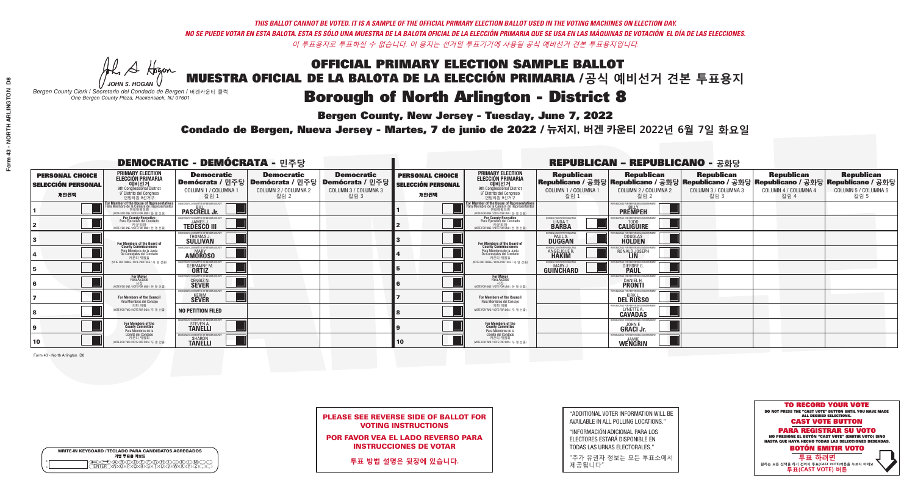A Hogan

**Bergen County, New Jersey - Tuesday, June 7, 2022** 

| <b>WRITE-IN KEYBOARD /TECLADO PARA CANDIDATOS AGREGADOS</b><br>기명 투표용 키보드 |  |
|---------------------------------------------------------------------------|--|
| DA BO DE FORDIDO<br>DINDRORSTUDIWAY<br><b>ENTER</b>                       |  |

*JOHN S. HOGAN Bergen County Clerk / Secretario del Condado de Bergen /* 버겐카운티 클럭 *One Bergen County Plaza, Hackensack, NJ 07601*



PLEASE SEE REVERSE SIDE OF BALLOT FOR VOTING INSTRUCTIONS

POR FAVOR VEA EL LADO REVERSO PARA INSTRUCCIONES DE VOTAR

**투표 방법 설명은 뒷장에 있습니다.**

"ADDITIONAL VOTER INFORMATION WILL BE AVAILABLE IN ALL POLLING LOCATIONS."

"INFORMACIÓN ADICIONAL PARA LOS ELECTORES ESTARÁ DISPONIBLE EN TODAS LAS URNAS ELECTORALES."

"추가 유권자 정보는 모든 투표소에서 제공됩니다"

Condado de Bergen, Nueva Jersey - Martes, 7 de junio de 2022 / 뉴저지, 버겐 카운티 2022년 6월 7일 화요일 *One Bergen County Plaza, Hackensack, NJ 07601*

|                                                             | <b>REPUBLICAN - REPUBLICANO - 공화당</b>                                                                                                         |                                                                        |                                                   |                                                                                                        |                                                             |                                                                                                                                                       |                                                            |                                                                                                                                                |                                                   |                                                   |                                                   |
|-------------------------------------------------------------|-----------------------------------------------------------------------------------------------------------------------------------------------|------------------------------------------------------------------------|---------------------------------------------------|--------------------------------------------------------------------------------------------------------|-------------------------------------------------------------|-------------------------------------------------------------------------------------------------------------------------------------------------------|------------------------------------------------------------|------------------------------------------------------------------------------------------------------------------------------------------------|---------------------------------------------------|---------------------------------------------------|---------------------------------------------------|
| <b>PERSONAL CHOICE</b><br><b>SELECCIÓN PERSONAL</b><br>개인선택 | <b>PRIMARY ELECTION</b><br><b>ELECCIÓN PRIMARIA</b><br>예비선거<br>9th Congressional District<br>9° Distrito del Congreso<br>연방하원 9선거구            | <b>Democratic</b><br>COLUMN 1 / COLUMNA 1<br>칼럼 1                      | <b>Democratic</b><br>COLUMN 2 / COLUMNA 2<br>칼럼 2 | <b>Democratic</b><br>│Demócrata / 민주당│Demócrata / 민주당│Demócrata / 민주당│<br>COLUMN 3 / COLUMNA 3<br>칼럼 3 | <b>PERSONAL CHOICE</b><br><b>SELECCIÓN PERSONAL</b><br>개인선택 | <b>PRIMARY ELECTION</b><br><b>ELECCIÓN PRIMARIA</b><br>예비선거<br>9th Congressional District<br>9° Distrito del Congreso<br>연방하원 9선거구                    | <b>Republican</b><br>COLUMN 1 / COLUMNA 1<br>칼럼 1          | <b>Republican</b><br>Republicano / 공화당 Republicano / 공화당 Republicano / 공화당 Republicano / 공화당 Republicano / 공화당<br>COLUMN 2 / COLUMNA 2<br>칼럼 2 | <b>Republican</b><br>COLUMN 3 / COLUMNA 3<br>칼럼 3 | <b>Republican</b><br>COLUMN 4 / COLUMNA 4<br>칼럼 4 | <b>Republican</b><br>COLUMN 5 / COLUMNA 5<br>칼럼 5 |
|                                                             | For Member of the House of Representatives<br>Para Miembro de la Cámara de Representantes<br>연방하원의원<br>(VOTE FOR ONE / VOTE POR UNO / 한 명 선출) | <b>PASCRELL Jr.</b>                                                    |                                                   |                                                                                                        |                                                             | <b>For Member of the House of Representatives<br/>Para Miembro de la Cámara de Representantes</b><br>연방하원의원<br>(VOTE FOR ONE / VOTE POR UNO / 한 명 선출) |                                                            | PUBLICANS FOR RESPONSIBLE GOVERNMEN<br><b>PREMPEH</b>                                                                                          |                                                   |                                                   |                                                   |
|                                                             | <b>For County Executive</b><br>Para Ejecutivo del Condado<br>카운티장<br>(VOTE FOR ONE / VOTE POR UNO / 한 명 선출)                                   | EMOCRATIC COMMITTEE OF BERGEN COUNTY<br><b>TEDESCO III</b>             |                                                   |                                                                                                        |                                                             | <b>For County Executive</b><br>Para Ejecutivo del Condado<br>7) 카운티장<br>(VOTE FOR ONE / VOTE POR UNO / 한 명 선출)                                        | BERGEN COUNTY REPUBLICAN<br>LINDA T.                       | <b>CALIGUIRE</b>                                                                                                                               |                                                   |                                                   |                                                   |
|                                                             | For Members of the Board of<br>County Commissioners                                                                                           | EMOCRATIC COMMITTEE OF BERGEN COUNT<br>THOMAS J.                       |                                                   |                                                                                                        |                                                             | For Members of the Board of<br>County Commissioners                                                                                                   | ERGEN COUNTY REPUBLICAN<br><b>PAUL A.</b><br><b>DUGGAN</b> | <b>DOUGLAS</b>                                                                                                                                 |                                                   |                                                   |                                                   |
|                                                             | Para Miembros de la Junta<br>De Concejales del Condado<br>카우티 위원들                                                                             | MOCRATIC COMMITTEE OF BERGEN COUNTY<br><b>AMOROSO</b>                  |                                                   |                                                                                                        |                                                             | Para Miembros de la Junta<br>De Concejales del Condado<br>카운티 위원들                                                                                     | ERGEN COUNTY REPUBLICAN<br>ANGELIQUE R                     | RONALD JOSEPH                                                                                                                                  |                                                   |                                                   |                                                   |
|                                                             | (VOTE FOR THREE / VOTE POR TRES / 세 명 선출)                                                                                                     | CRATIC COMMITTEE OF RERGEN COUN<br><b>GERMAINE M.</b>                  |                                                   |                                                                                                        |                                                             | (VOTE FOR THREE / VOTE POR TRES / 세 명 선출)                                                                                                             | <b>'ERGEN COUNTY REPUBLICANS</b><br><b>GUINCHARD</b>       | LICANS FOR RESPONSIBLE G<br>DIERDRE G                                                                                                          |                                                   |                                                   |                                                   |
|                                                             | <b>For Mayor</b><br>Para Alcalde<br>NOTE FOR ONE / VOTE POR UNO / 한 명 /                                                                       | EMOCRATIC COMMITTEE OF BERGEN COUNT<br>CENGIZ N.                       |                                                   |                                                                                                        |                                                             | <b>For Mayor</b><br>Para Alcalde<br>NOTE FOR ONE / VOTE POR UNO / 한 명 선출                                                                              |                                                            | DANIEL H.                                                                                                                                      |                                                   |                                                   |                                                   |
|                                                             | For Members of the Council<br>Para Miembros del Conceio                                                                                       | MOCRATIC COMMITTEE OF BERGEN COUNTY<br><b>SEVER</b>                    |                                                   |                                                                                                        |                                                             | For Members of the Council<br>Para Miembros del Conceio                                                                                               |                                                            | PUBLICANS FOR RESPONSIBLE GOVERNMEN<br><b>DEL RUSSO</b>                                                                                        |                                                   |                                                   |                                                   |
|                                                             | 의회 의원<br>(VOTE FOR TWO / VOTE POR DOS / 두 명 선출)                                                                                               | <b>NO PETITION FILED</b>                                               |                                                   |                                                                                                        |                                                             | 의회 의원<br>WOTE FOR TWO / VOTE POR DOS / 두 명 선출)                                                                                                        |                                                            | PUBLICANS FOR RESPONSIBLE GO<br>LYNETTE A.                                                                                                     |                                                   |                                                   |                                                   |
|                                                             | For Members of the<br>County Committee<br>Para Miembros de la                                                                                 | MOCRATIC COMMITTEE OF BERGEN COUNTY<br>STEVEN A.                       |                                                   |                                                                                                        |                                                             | For Members of the<br>County Committee<br>Para Miembros de la<br>Comité del Condado                                                                   |                                                            | PUBLICANS FOR RESPONSIBLE G<br><b>GRACI JE.</b>                                                                                                |                                                   |                                                   |                                                   |
| 10                                                          | Comité del Condado<br>카운티 위원회<br>(VOTE FOR TWO / VOTE POR DOS / 두 명 선출)                                                                       | EMOCRATIC COMMITTEE OF BERGEN COUNT<br><b>SHARON</b><br><b>TANELLI</b> |                                                   |                                                                                                        | 10                                                          | 카운티 위원회<br>(VOTE FOR TWO / VOTE POR DOS / 두 명 선출)                                                                                                     |                                                            | PUBLICANS FOR RESPONSIBLE GOVERNMENT<br>WENGRIN                                                                                                |                                                   |                                                   |                                                   |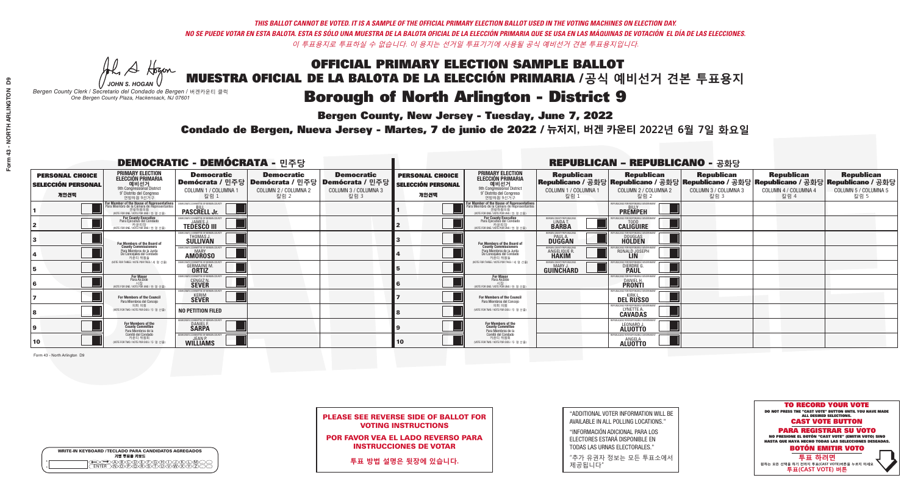A Hogan

**Bergen County, New Jersey - Tuesday, June 7, 2022** 

| <b>WRITE-IN KEYBOARD /TECLADO PARA CANDIDATOS AGREGADOS</b><br>기명 투표용 키보드 |  |
|---------------------------------------------------------------------------|--|
| @@@@@@@@@QQ<br>\M@@@@&\$\DQ\W\X<br><b>FNTFR</b>                           |  |

*JOHN S. HOGAN Bergen County Clerk / Secretario del Condado de Bergen /* 버겐카운티 클럭 *One Bergen County Plaza, Hackensack, NJ 07601*



PLEASE SEE REVERSE SIDE OF BALLOT FOR VOTING INSTRUCTIONS

POR FAVOR VEA EL LADO REVERSO PARA INSTRUCCIONES DE VOTAR

**투표 방법 설명은 뒷장에 있습니다.**

"ADDITIONAL VOTER INFORMATION WILL BE AVAILABLE IN ALL POLLING LOCATIONS."

"INFORMACIÓN ADICIONAL PARA LOS ELECTORES ESTARÁ DISPONIBLE EN TODAS LAS URNAS ELECTORALES."

"추가 유권자 정보는 모든 투표소에서 제공됩니다"

Condado de Bergen, Nueva Jersey - Martes, 7 de junio de 2022 / 뉴저지, 버겐 카운티 2022년 6월 7일 화요일 *One Bergen County Plaza, Hackensack, NJ 07601*

| <b>DEMOCRATIC - DEMÓCRATA - 민주당</b>                         |                                                                                                                                                       |                                                                |                                                                                                        |                                                   |                                                             | <b>REPUBLICAN - REPUBLICANO - 공화당</b>                                                                                                               |                                                            |                                                                        |                                                                                                                                                 |                                                   |                                                   |  |
|-------------------------------------------------------------|-------------------------------------------------------------------------------------------------------------------------------------------------------|----------------------------------------------------------------|--------------------------------------------------------------------------------------------------------|---------------------------------------------------|-------------------------------------------------------------|-----------------------------------------------------------------------------------------------------------------------------------------------------|------------------------------------------------------------|------------------------------------------------------------------------|-------------------------------------------------------------------------------------------------------------------------------------------------|---------------------------------------------------|---------------------------------------------------|--|
| <b>PERSONAL CHOICE</b><br><b>SELECCIÓN PERSONAL</b><br>개인선택 | <b>PRIMARY ELECTION</b><br><b>ELECCIÓN PRIMARIA</b><br>예비선거<br>애 Congressional District<br>9° Distrito del Congreso<br>연방하원 9선거구                      | <b>Democratic</b><br>COLUMN 1 / COLUMNA 1<br>칼럼 1              | <b>Democratic</b><br>│Demócrata / 민주당│Demócrata / 민주당│Demócrata / 민주당│<br>COLUMN 2 / COLUMNA 2<br>칼럼 2 | <b>Democratic</b><br>COLUMN 3 / COLUMNA 3<br>칼럼 3 | <b>PERSONAL CHOICE</b><br><b>SELECCIÓN PERSONAL</b><br>개인선택 | <b>PRIMARY ELECTION</b><br>ELECCIÓN PRIMARIA<br>9th Congressional District<br>9° Distrito del Congreso<br>연방하원 9선거구                                 | <b>Republican</b><br>COLUMN 1 / COLUMNA 1<br>칼럼            | <b>Republican</b><br>COLUMN 2 / COLUMNA 2<br>칼럼 2                      | <b>Republican</b><br>│Republicano / 공화당│Republicano / 공화당│Republicano / 공화당│Republicano / 공화당│Republicano / 공화당<br>COLUMN 3 / COLUMNA 3<br>칼럼 3 | <b>Republican</b><br>COLUMN 4 / COLUMNA 4<br>칼럼 4 | <b>Republican</b><br>COLUMN 5 / COLUMNA 5<br>칼럼 5 |  |
|                                                             | F <b>or Member of the House of Representatives</b><br>Para Miembro de la Cámara de Representantes<br>연방하원의원<br>(VOTE FOR ONE / VOTE POR UNO / 한 명 선출) | COMMITTEE OF BERGEN COUNTY<br><b>PASCRELL Jr.</b>              |                                                                                                        |                                                   |                                                             | <b>For Member of the House of Representatives</b><br>Para Miembro de la Cámara de Representantes<br>겨방하워의워<br>(VOTE FOR ONE / VOTE POR UNO / 한 명 선출 |                                                            | PUBLICANS FOR RESPONSIBLE GOVERNMENT<br><b>PREMPEH</b>                 |                                                                                                                                                 |                                                   |                                                   |  |
|                                                             | <b>For County Executive</b><br>Para Ejecutivo del Condado<br>(VOTE FOR ONE / VOTE POR UNO / 한 명 선출)                                                   | EMOCRATIC COMMITTEE OF BERGEN COUNT<br><b>TEDESCO III</b>      |                                                                                                        |                                                   |                                                             | For County Executive<br>Para Ejecutivo del Condado<br>(VOTE FOR ONE / VOTE POR UNO / 한 명 선출                                                         | ERGEN COUNTY REPUBLICAN<br>LINDA T.                        | <b>CALIGUIRE</b>                                                       |                                                                                                                                                 |                                                   |                                                   |  |
|                                                             | For Members of the Board of<br>County Commissioners                                                                                                   | THOMAS J.                                                      |                                                                                                        |                                                   |                                                             | For Members of the Board of<br>County Commissioners                                                                                                 | ERGEN COUNTY REPUBLICAN<br><b>PAUL A.</b><br><b>DUGGAN</b> | DOUGLAS<br>HOLDEN                                                      |                                                                                                                                                 |                                                   |                                                   |  |
|                                                             | Para Miembros de la Junta<br>De Concejales del Condado<br>카우티 위원들                                                                                     | MOCRATIC COMMITTEE OF RERGEN COUNT<br><b>AMOROSO</b>           |                                                                                                        |                                                   |                                                             | Para Miembros de la Junta<br>De Concejales del Condado<br>카우티 위워들                                                                                   | ERGEN COUNTY REPUBLICAN<br><b>ANGELIQUE R<br/>HAKIM</b>    | RONALD JOSEPH<br><b>LIN</b>                                            |                                                                                                                                                 |                                                   |                                                   |  |
|                                                             | (VOTE FOR THREE / VOTE POR TRES / 세 명 선출)                                                                                                             | <b>GERMAINE M.</b><br><b>ORTIZ</b>                             |                                                                                                        |                                                   |                                                             | NOTE FOR THREE / VOTE POR TRES / 세 명 선출)                                                                                                            | ERGEN COUNTY REPUBLICAN<br>GUINCHARD                       | <b>DIERDRE</b>                                                         |                                                                                                                                                 |                                                   |                                                   |  |
|                                                             | For Mayor<br>Para Alcalde<br>시장<br>(VOTE FOR ONE / VOTE POR UNO / 한 명 선                                                                               | <b>DCRATIC COMMITTEE OF BERGEN COUNT</b><br><b>CENGIZ N.</b>   |                                                                                                        |                                                   |                                                             | <b>For Mayor</b><br>Para Alcalde<br>NOTE FOR ONE / VOTE POR UNO / 한 명 선출)                                                                           |                                                            | IRI ICANS FOR RESPONSIRI E I<br><b>PRONTI</b>                          |                                                                                                                                                 |                                                   |                                                   |  |
|                                                             | For Members of the Council<br>Para Miembros del Conceio                                                                                               | OCRATIC COMMITTEE OF BERGEN COUNTY<br><b>SEVER</b>             |                                                                                                        |                                                   |                                                             | <b>For Members of the Council</b><br>Para Miembros del Concejo                                                                                      |                                                            | PUBLICANS FOR RESPONSIBLE GOVERNMEN<br><b>KIRK</b><br><b>DEL RUSSO</b> |                                                                                                                                                 |                                                   |                                                   |  |
|                                                             | 의회 의원<br>(VOTE FOR TWO / VOTE POR DOS / 두 명 선출)                                                                                                       | <b>NO PETITION FILED</b>                                       |                                                                                                        |                                                   |                                                             | 이히 이워<br>(VOTE FOR TWO / VOTE POR DOS / 두 명 선출)                                                                                                     |                                                            | PUBLICANS FOR RESPONSIBLE GO<br><b>LYNETTE A.</b>                      |                                                                                                                                                 |                                                   |                                                   |  |
|                                                             | For Members of the<br>County Committee<br>Para Miembros de la<br>Comité del Condado                                                                   | OCRATIC COMMITTEE OF BERGEN COUNTY<br>DANIEL F.                |                                                                                                        |                                                   |                                                             | For Members of the<br>County Committee<br>Para Miembros de la<br>Comité del Condado                                                                 |                                                            | UBLICANS FOR RESPONSIBLE GOV<br>LEONARD J.                             |                                                                                                                                                 |                                                   |                                                   |  |
| 10                                                          | 카운티 위원회<br>(VOTE FOR TWO / VOTE POR DOS / 두 명 선출)                                                                                                     | <b>EMOCRATIC COMMITTEE OF BERGEN COUNTY</b><br><b>WILLIAMS</b> |                                                                                                        |                                                   | 10                                                          | 카운티 위원회<br>(VOTE FOR TWO / VOTE POR DOS / 두 명 선출)                                                                                                   |                                                            | PUBLICANS FOR RESPONSIBLE GO<br><b>ANGELA</b>                          |                                                                                                                                                 |                                                   |                                                   |  |